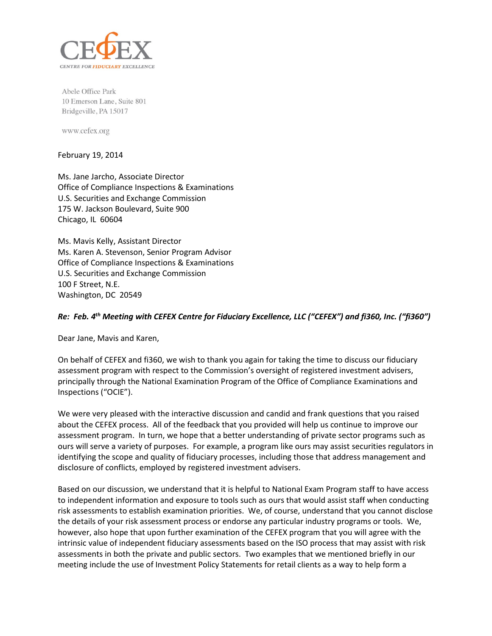

Abele Office Park 10 Emerson Lane, Suite 801 Bridgeville, PA 15017

www.cefex.org

## February 19, 2014

Ms. Jane Jarcho, Associate Director Office of Compliance Inspections & Examinations U.S. Securities and Exchange Commission 175 W. Jackson Boulevard, Suite 900 Chicago, IL 60604

Ms. Mavis Kelly, Assistant Director Ms. Karen A. Stevenson, Senior Program Advisor Office of Compliance Inspections & Examinations U.S. Securities and Exchange Commission 100 F Street, N.E. Washington, DC 20549

## *Re: Feb. 4th Meeting with CEFEX Centre for Fiduciary Excellence, LLC ("CEFEX") and fi360, Inc. ("fi360")*

Dear Jane, Mavis and Karen,

On behalf of CEFEX and fi360, we wish to thank you again for taking the time to discuss our fiduciary assessment program with respect to the Commission's oversight of registered investment advisers, principally through the National Examination Program of the Office of Compliance Examinations and Inspections ("OCIE").

We were very pleased with the interactive discussion and candid and frank questions that you raised about the CEFEX process. All of the feedback that you provided will help us continue to improve our assessment program. In turn, we hope that a better understanding of private sector programs such as ours will serve a variety of purposes. For example, a program like ours may assist securities regulators in identifying the scope and quality of fiduciary processes, including those that address management and disclosure of conflicts, employed by registered investment advisers.

Based on our discussion, we understand that it is helpful to National Exam Program staff to have access to independent information and exposure to tools such as ours that would assist staff when conducting risk assessments to establish examination priorities. We, of course, understand that you cannot disclose the details of your risk assessment process or endorse any particular industry programs or tools. We, however, also hope that upon further examination of the CEFEX program that you will agree with the intrinsic value of independent fiduciary assessments based on the ISO process that may assist with risk assessments in both the private and public sectors. Two examples that we mentioned briefly in our meeting include the use of Investment Policy Statements for retail clients as a way to help form a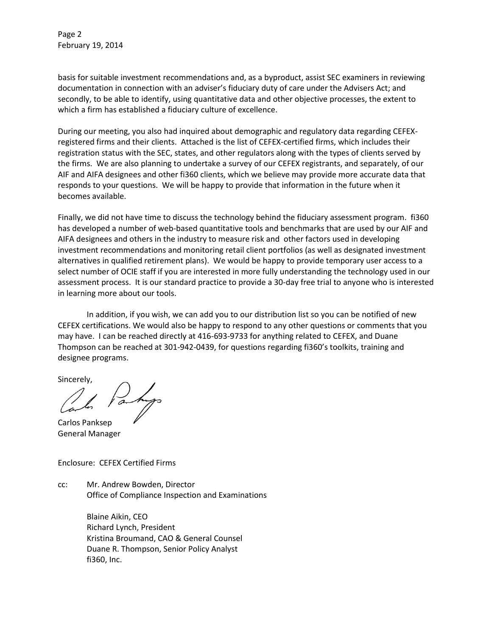Page 2 February 19, 2014

basis for suitable investment recommendations and, as a byproduct, assist SEC examiners in reviewing documentation in connection with an adviser's fiduciary duty of care under the Advisers Act; and secondly, to be able to identify, using quantitative data and other objective processes, the extent to which a firm has established a fiduciary culture of excellence.

During our meeting, you also had inquired about demographic and regulatory data regarding CEFEXregistered firms and their clients. Attached is the list of CEFEX-certified firms, which includes their registration status with the SEC, states, and other regulators along with the types of clients served by the firms. We are also planning to undertake a survey of our CEFEX registrants, and separately, of our AIF and AIFA designees and other fi360 clients, which we believe may provide more accurate data that responds to your questions. We will be happy to provide that information in the future when it becomes available.

Finally, we did not have time to discuss the technology behind the fiduciary assessment program. fi360 has developed a number of web-based quantitative tools and benchmarks that are used by our AIF and AIFA designees and others in the industry to measure risk and other factors used in developing investment recommendations and monitoring retail client portfolios (as well as designated investment alternatives in qualified retirement plans). We would be happy to provide temporary user access to a select number of OCIE staff if you are interested in more fully understanding the technology used in our assessment process. It is our standard practice to provide a 30-day free trial to anyone who is interested in learning more about our tools.

In addition, if you wish, we can add you to our distribution list so you can be notified of new CEFEX certifications. We would also be happy to respond to any other questions or comments that you may have. I can be reached directly at 416-693-9733 for anything related to CEFEX, and Duane Thompson can be reached at 301-942-0439, for questions regarding fi360's toolkits, training and designee programs.

Sincerely,

Carlos Panksep General Manager

Enclosure: CEFEX Certified Firms

cc: Mr. Andrew Bowden, Director Office of Compliance Inspection and Examinations

> Blaine Aikin, CEO Richard Lynch, President Kristina Broumand, CAO & General Counsel Duane R. Thompson, Senior Policy Analyst fi360, Inc.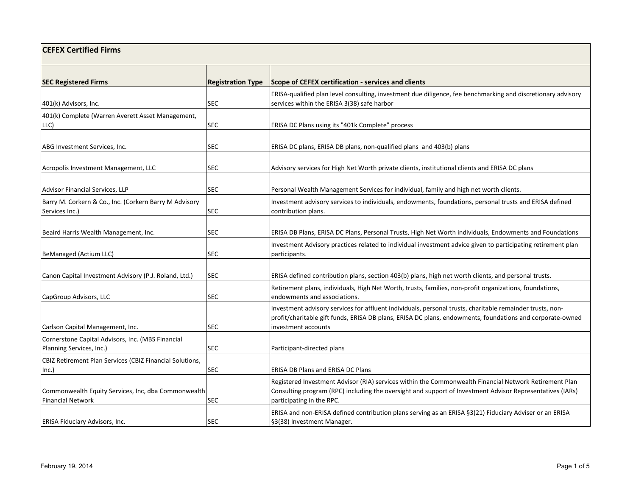| <b>CEFEX Certified Firms</b>                                                    |                          |                                                                                                                                                                                                                                                  |
|---------------------------------------------------------------------------------|--------------------------|--------------------------------------------------------------------------------------------------------------------------------------------------------------------------------------------------------------------------------------------------|
| <b>SEC Registered Firms</b>                                                     | <b>Registration Type</b> | Scope of CEFEX certification - services and clients                                                                                                                                                                                              |
| 401(k) Advisors, Inc.                                                           | <b>SEC</b>               | ERISA-qualified plan level consulting, investment due diligence, fee benchmarking and discretionary advisory<br>services within the ERISA 3(38) safe harbor                                                                                      |
| 401(k) Complete (Warren Averett Asset Management,<br>LLC)                       | SEC                      | ERISA DC Plans using its "401k Complete" process                                                                                                                                                                                                 |
| ABG Investment Services, Inc.                                                   | <b>SEC</b>               | ERISA DC plans, ERISA DB plans, non-qualified plans and 403(b) plans                                                                                                                                                                             |
| Acropolis Investment Management, LLC                                            | <b>SEC</b>               | Advisory services for High Net Worth private clients, institutional clients and ERISA DC plans                                                                                                                                                   |
| Advisor Financial Services, LLP                                                 | <b>SEC</b>               | Personal Wealth Management Services for individual, family and high net worth clients.                                                                                                                                                           |
| Barry M. Corkern & Co., Inc. (Corkern Barry M Advisory<br>Services Inc.)        | SEC                      | Investment advisory services to individuals, endowments, foundations, personal trusts and ERISA defined<br>contribution plans.                                                                                                                   |
| Beaird Harris Wealth Management, Inc.                                           | SEC                      | ERISA DB Plans, ERISA DC Plans, Personal Trusts, High Net Worth individuals, Endowments and Foundations                                                                                                                                          |
| BeManaged (Actium LLC)                                                          | <b>SEC</b>               | Investment Advisory practices related to individual investment advice given to participating retirement plan<br>participants.                                                                                                                    |
| Canon Capital Investment Advisory (P.J. Roland, Ltd.)                           | <b>SEC</b>               | ERISA defined contribution plans, section 403(b) plans, high net worth clients, and personal trusts.                                                                                                                                             |
| CapGroup Advisors, LLC                                                          | SEC                      | Retirement plans, individuals, High Net Worth, trusts, families, non-profit organizations, foundations,<br>endowments and associations.                                                                                                          |
| Carlson Capital Management, Inc.                                                | SEC.                     | Investment advisory services for affluent individuals, personal trusts, charitable remainder trusts, non-<br>profit/charitable gift funds, ERISA DB plans, ERISA DC plans, endowments, foundations and corporate-owned<br>investment accounts    |
| Cornerstone Capital Advisors, Inc. (MBS Financial<br>Planning Services, Inc.)   | <b>SEC</b>               | Participant-directed plans                                                                                                                                                                                                                       |
| CBIZ Retirement Plan Services (CBIZ Financial Solutions,<br>Inc.)               | SEC                      | ERISA DB Plans and ERISA DC Plans                                                                                                                                                                                                                |
| Commonwealth Equity Services, Inc, dba Commonwealth<br><b>Financial Network</b> | SEC                      | Registered Investment Advisor (RIA) services within the Commonwealth Financial Network Retirement Plan<br>Consulting program (RPC) including the oversight and support of Investment Advisor Representatives (IARs)<br>participating in the RPC. |
| <b>ERISA Fiduciary Advisors, Inc.</b>                                           | <b>SEC</b>               | ERISA and non-ERISA defined contribution plans serving as an ERISA §3(21) Fiduciary Adviser or an ERISA<br>§3(38) Investment Manager.                                                                                                            |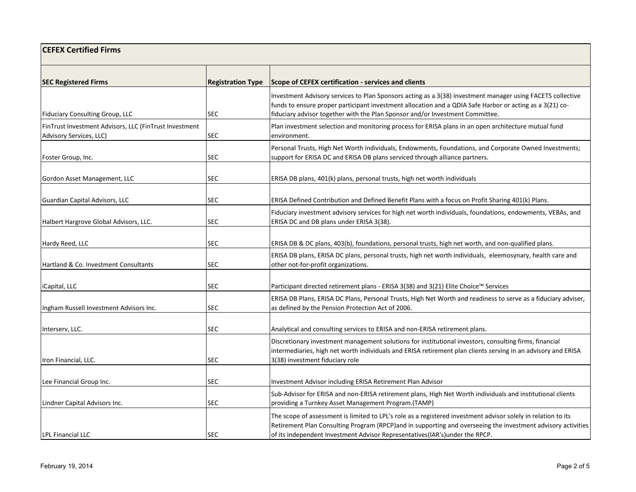| <b>CEFEX Certified Firms</b>                                                      |                          |                                                                                                                                                                                                                                                                                                                |  |
|-----------------------------------------------------------------------------------|--------------------------|----------------------------------------------------------------------------------------------------------------------------------------------------------------------------------------------------------------------------------------------------------------------------------------------------------------|--|
| <b>SEC Registered Firms</b>                                                       | <b>Registration Type</b> | Scope of CEFEX certification - services and clients                                                                                                                                                                                                                                                            |  |
| <b>Fiduciary Consulting Group, LLC</b>                                            | <b>SEC</b>               | Investment Advisory services to Plan Sponsors acting as a 3(38) investment manager using FACETS collective<br>funds to ensure proper participant investment allocation and a QDIA Safe Harbor or acting as a 3(21) co-<br>fiduciary advisor together with the Plan Sponsor and/or Investment Committee.        |  |
| FinTrust Investment Advisors, LLC (FinTrust Investment<br>Advisory Services, LLC) | SEC                      | Plan investment selection and monitoring process for ERISA plans in an open architecture mutual fund<br>environment.                                                                                                                                                                                           |  |
| Foster Group, Inc.                                                                | SEC.                     | Personal Trusts, High Net Worth individuals, Endowments, Foundations, and Corporate Owned Investments;<br>support for ERISA DC and ERISA DB plans serviced through alliance partners.                                                                                                                          |  |
| Gordon Asset Management, LLC                                                      | SEC                      | ERISA DB plans, 401(k) plans, personal trusts, high net worth individuals                                                                                                                                                                                                                                      |  |
| Guardian Capital Advisors, LLC                                                    | SEC                      | ERISA Defined Contribution and Defined Benefit Plans with a focus on Profit Sharing 401(k) Plans.                                                                                                                                                                                                              |  |
| Halbert Hargrove Global Advisors, LLC.                                            | <b>SEC</b>               | Fiduciary investment advisory services for high net worth individuals, foundations, endowments, VEBAs, and<br>ERISA DC and DB plans under ERISA 3(38).                                                                                                                                                         |  |
| Hardy Reed, LLC                                                                   | <b>SEC</b>               | ERISA DB & DC plans, 403(b), foundations, personal trusts, high net worth, and non-qualified plans.                                                                                                                                                                                                            |  |
| Hartland & Co. Investment Consultants                                             | SEC                      | ERISA DB plans, ERISA DC plans, personal trusts, high net worth individuals, eleemosynary, health care and<br>other not-for-profit organizations.                                                                                                                                                              |  |
| iCapital, LLC                                                                     | <b>SEC</b>               | Participant directed retirement plans - ERISA 3(38) and 3(21) Elite Choice™ Services                                                                                                                                                                                                                           |  |
| Ingham Russell Investment Advisors Inc.                                           | <b>SEC</b>               | ERISA DB Plans, ERISA DC Plans, Personal Trusts, High Net Worth and readiness to serve as a fiduciary adviser,<br>as defined by the Pension Protection Act of 2006.                                                                                                                                            |  |
| Interserv, LLC.                                                                   | <b>SEC</b>               | Analytical and consulting services to ERISA and non-ERISA retirement plans.                                                                                                                                                                                                                                    |  |
| Iron Financial, LLC.                                                              | <b>SEC</b>               | Discretionary investment management solutions for institutional investors, consulting firms, financial<br>intermediaries, high net worth individuals and ERISA retirement plan clients serving in an advisory and ERISA<br>3(38) investment fiduciary role                                                     |  |
| Lee Financial Group Inc.                                                          | <b>SEC</b>               | Investment Advisor including ERISA Retirement Plan Advisor                                                                                                                                                                                                                                                     |  |
| Lindner Capital Advisors Inc.                                                     | <b>SEC</b>               | Sub-Advisor for ERISA and non-ERISA retirement plans, High Net Worth individuals and institutional clients<br>providing a Turnkey Asset Management Program.(TAMP)                                                                                                                                              |  |
| <b>LPL Financial LLC</b>                                                          | <b>SEC</b>               | The scope of assessment is limited to LPL's role as a registered investment advisor solely in relation to its<br>Retirement Plan Consulting Program (RPCP) and in supporting and overseeing the investment advisory activities<br>of its independent Investment Advisor Representatives(IAR's) under the RPCP. |  |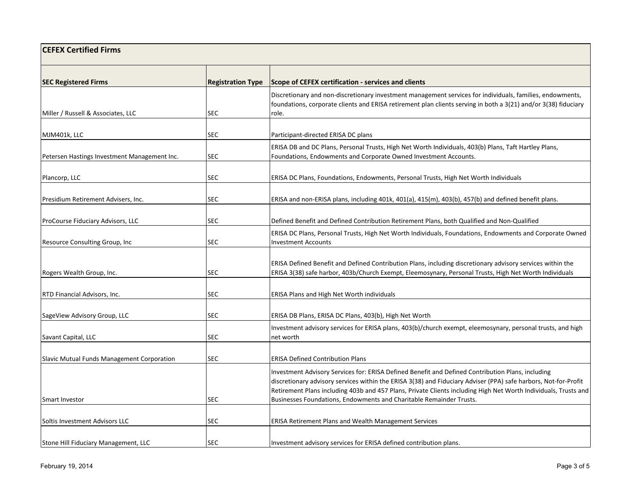| <b>CEFEX Certified Firms</b>                                 |                          |                                                                                                                                                                                                                                                                                                                                                                                                                |
|--------------------------------------------------------------|--------------------------|----------------------------------------------------------------------------------------------------------------------------------------------------------------------------------------------------------------------------------------------------------------------------------------------------------------------------------------------------------------------------------------------------------------|
| <b>SEC Registered Firms</b>                                  | <b>Registration Type</b> | Scope of CEFEX certification - services and clients                                                                                                                                                                                                                                                                                                                                                            |
| Miller / Russell & Associates, LLC                           | SEC                      | Discretionary and non-discretionary investment management services for individuals, families, endowments,<br>foundations, corporate clients and ERISA retirement plan clients serving in both a 3(21) and/or 3(38) fiduciary<br>role.                                                                                                                                                                          |
|                                                              |                          |                                                                                                                                                                                                                                                                                                                                                                                                                |
| MJM401k, LLC<br>Petersen Hastings Investment Management Inc. | SEC<br>SEC               | Participant-directed ERISA DC plans<br>ERISA DB and DC Plans, Personal Trusts, High Net Worth Individuals, 403(b) Plans, Taft Hartley Plans,<br>Foundations, Endowments and Corporate Owned Investment Accounts.                                                                                                                                                                                               |
| Plancorp, LLC                                                | <b>SEC</b>               | ERISA DC Plans, Foundations, Endowments, Personal Trusts, High Net Worth Individuals                                                                                                                                                                                                                                                                                                                           |
| Presidium Retirement Advisers, Inc.                          | <b>SEC</b>               | ERISA and non-ERISA plans, including 401k, 401(a), 415(m), 403(b), 457(b) and defined benefit plans.                                                                                                                                                                                                                                                                                                           |
| ProCourse Fiduciary Advisors, LLC                            | SEC                      | Defined Benefit and Defined Contribution Retirement Plans, both Qualified and Non-Qualified                                                                                                                                                                                                                                                                                                                    |
| Resource Consulting Group, Inc.                              | SEC                      | ERISA DC Plans, Personal Trusts, High Net Worth Individuals, Foundations, Endowments and Corporate Owned<br><b>Investment Accounts</b>                                                                                                                                                                                                                                                                         |
| Rogers Wealth Group, Inc.                                    | SEC                      | ERISA Defined Benefit and Defined Contribution Plans, including discretionary advisory services within the<br>ERISA 3(38) safe harbor, 403b/Church Exempt, Eleemosynary, Personal Trusts, High Net Worth Individuals                                                                                                                                                                                           |
| RTD Financial Advisors, Inc.                                 | SEC                      | ERISA Plans and High Net Worth individuals                                                                                                                                                                                                                                                                                                                                                                     |
| SageView Advisory Group, LLC                                 | <b>SEC</b>               | ERISA DB Plans, ERISA DC Plans, 403(b), High Net Worth                                                                                                                                                                                                                                                                                                                                                         |
| Savant Capital, LLC                                          | SEC                      | Investment advisory services for ERISA plans, 403(b)/church exempt, eleemosynary, personal trusts, and high<br>net worth                                                                                                                                                                                                                                                                                       |
| Slavic Mutual Funds Management Corporation                   | <b>SEC</b>               | <b>ERISA Defined Contribution Plans</b>                                                                                                                                                                                                                                                                                                                                                                        |
| Smart Investor                                               | <b>SEC</b>               | Investment Advisory Services for: ERISA Defined Benefit and Defined Contribution Plans, including<br>discretionary advisory services within the ERISA 3(38) and Fiduciary Adviser (PPA) safe harbors, Not-for-Profit<br>Retirement Plans including 403b and 457 Plans, Private Clients including High Net Worth Individuals, Trusts and<br>Businesses Foundations, Endowments and Charitable Remainder Trusts. |
| Soltis Investment Advisors LLC                               | SEC                      | <b>ERISA Retirement Plans and Wealth Management Services</b>                                                                                                                                                                                                                                                                                                                                                   |
| Stone Hill Fiduciary Management, LLC                         | <b>SEC</b>               | Investment advisory services for ERISA defined contribution plans.                                                                                                                                                                                                                                                                                                                                             |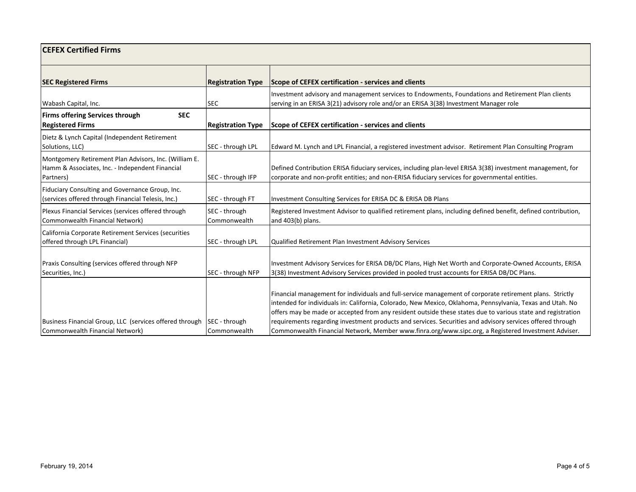| <b>CEFEX Certified Firms</b>                                                                                          |                                 |                                                                                                                                                                                                                                                                                                                                                                                                                                                                                                                                                          |  |
|-----------------------------------------------------------------------------------------------------------------------|---------------------------------|----------------------------------------------------------------------------------------------------------------------------------------------------------------------------------------------------------------------------------------------------------------------------------------------------------------------------------------------------------------------------------------------------------------------------------------------------------------------------------------------------------------------------------------------------------|--|
| <b>SEC Registered Firms</b>                                                                                           | <b>Registration Type</b>        | Scope of CEFEX certification - services and clients                                                                                                                                                                                                                                                                                                                                                                                                                                                                                                      |  |
| Wabash Capital, Inc.                                                                                                  | <b>SEC</b>                      | Investment advisory and management services to Endowments, Foundations and Retirement Plan clients<br>serving in an ERISA 3(21) advisory role and/or an ERISA 3(38) Investment Manager role                                                                                                                                                                                                                                                                                                                                                              |  |
| <b>SEC</b><br><b>Firms offering Services through</b><br><b>Registered Firms</b>                                       | <b>Registration Type</b>        | Scope of CEFEX certification - services and clients                                                                                                                                                                                                                                                                                                                                                                                                                                                                                                      |  |
| Dietz & Lynch Capital (Independent Retirement<br>Solutions, LLC)                                                      | SEC - through LPL               | Edward M. Lynch and LPL Financial, a registered investment advisor. Retirement Plan Consulting Program                                                                                                                                                                                                                                                                                                                                                                                                                                                   |  |
| Montgomery Retirement Plan Advisors, Inc. (William E.<br>Hamm & Associates, Inc. - Independent Financial<br>Partners) | SEC - through IFP               | Defined Contribution ERISA fiduciary services, including plan-level ERISA 3(38) investment management, for<br>corporate and non-profit entities; and non-ERISA fiduciary services for governmental entities.                                                                                                                                                                                                                                                                                                                                             |  |
| Fiduciary Consulting and Governance Group, Inc.<br>(services offered through Financial Telesis, Inc.)                 | SEC - through FT                | Investment Consulting Services for ERISA DC & ERISA DB Plans                                                                                                                                                                                                                                                                                                                                                                                                                                                                                             |  |
| Plexus Financial Services (services offered through<br>Commonwealth Financial Network)                                | SEC - through<br>Commonwealth   | Registered Investment Advisor to qualified retirement plans, including defined benefit, defined contribution,<br>and 403(b) plans.                                                                                                                                                                                                                                                                                                                                                                                                                       |  |
| California Corporate Retirement Services (securities<br>offered through LPL Financial)                                | SEC - through LPL               | Qualified Retirement Plan Investment Advisory Services                                                                                                                                                                                                                                                                                                                                                                                                                                                                                                   |  |
| Praxis Consulting (services offered through NFP<br>Securities, Inc.)                                                  | SEC - through NFP               | Investment Advisory Services for ERISA DB/DC Plans, High Net Worth and Corporate-Owned Accounts, ERISA<br>3(38) Investment Advisory Services provided in pooled trust accounts for ERISA DB/DC Plans.                                                                                                                                                                                                                                                                                                                                                    |  |
| Business Financial Group, LLC (services offered through<br>Commonwealth Financial Network)                            | SEC - through<br>l Commonwealth | Financial management for individuals and full-service management of corporate retirement plans. Strictly<br>intended for individuals in: California, Colorado, New Mexico, Oklahoma, Pennsylvania, Texas and Utah. No<br>offers may be made or accepted from any resident outside these states due to various state and registration<br>requirements regarding investment products and services. Securities and advisory services offered through<br>Commonwealth Financial Network, Member www.finra.org/www.sipc.org, a Registered Investment Adviser. |  |